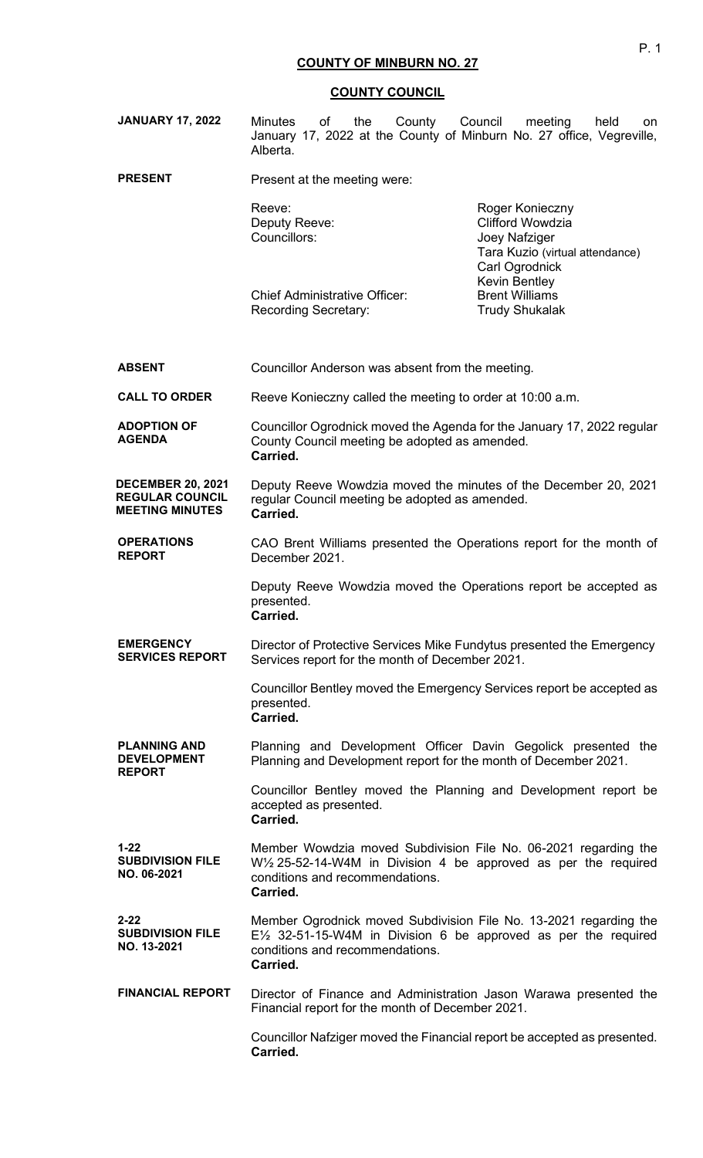| <b>JANUARY 17, 2022</b>                                                      | <b>Minutes</b><br>of<br>the<br>County<br>January 17, 2022 at the County of Minburn No. 27 office, Vegreville,<br>Alberta.                                                                                  | Council<br>meeting<br>held<br>on                                                                                 |
|------------------------------------------------------------------------------|------------------------------------------------------------------------------------------------------------------------------------------------------------------------------------------------------------|------------------------------------------------------------------------------------------------------------------|
| <b>PRESENT</b>                                                               | Present at the meeting were:                                                                                                                                                                               |                                                                                                                  |
|                                                                              | Reeve:<br>Deputy Reeve:<br>Councillors:                                                                                                                                                                    | Roger Konieczny<br><b>Clifford Wowdzia</b><br>Joey Nafziger<br>Tara Kuzio (virtual attendance)<br>Carl Ogrodnick |
|                                                                              | <b>Chief Administrative Officer:</b><br><b>Recording Secretary:</b>                                                                                                                                        | <b>Kevin Bentley</b><br><b>Brent Williams</b><br><b>Trudy Shukalak</b>                                           |
| <b>ABSENT</b>                                                                | Councillor Anderson was absent from the meeting.                                                                                                                                                           |                                                                                                                  |
| <b>CALL TO ORDER</b>                                                         | Reeve Konieczny called the meeting to order at 10:00 a.m.                                                                                                                                                  |                                                                                                                  |
| <b>ADOPTION OF</b><br><b>AGENDA</b>                                          | Councillor Ogrodnick moved the Agenda for the January 17, 2022 regular<br>County Council meeting be adopted as amended.<br>Carried.                                                                        |                                                                                                                  |
| <b>DECEMBER 20, 2021</b><br><b>REGULAR COUNCIL</b><br><b>MEETING MINUTES</b> | Deputy Reeve Wowdzia moved the minutes of the December 20, 2021<br>regular Council meeting be adopted as amended.<br>Carried.                                                                              |                                                                                                                  |
| <b>OPERATIONS</b><br><b>REPORT</b>                                           | CAO Brent Williams presented the Operations report for the month of<br>December 2021.                                                                                                                      |                                                                                                                  |
|                                                                              | Deputy Reeve Wowdzia moved the Operations report be accepted as<br>presented.<br>Carried.                                                                                                                  |                                                                                                                  |
| <b>EMERGENCY</b><br><b>SERVICES REPORT</b>                                   | Director of Protective Services Mike Fundytus presented the Emergency<br>Services report for the month of December 2021.                                                                                   |                                                                                                                  |
|                                                                              | Councillor Bentley moved the Emergency Services report be accepted as<br>presented.<br>Carried.                                                                                                            |                                                                                                                  |
| <b>PLANNING AND</b><br><b>DEVELOPMENT</b><br><b>REPORT</b>                   | Planning and Development Officer Davin Gegolick presented the<br>Planning and Development report for the month of December 2021.                                                                           |                                                                                                                  |
|                                                                              | Councillor Bentley moved the Planning and Development report be<br>accepted as presented.<br>Carried.                                                                                                      |                                                                                                                  |
| $1 - 22$<br><b>SUBDIVISION FILE</b><br>NO. 06-2021                           | Member Wowdzia moved Subdivision File No. 06-2021 regarding the<br>W <sup>1</sup> / <sub>2</sub> 25-52-14-W4M in Division 4 be approved as per the required<br>conditions and recommendations.<br>Carried. |                                                                                                                  |
| 2-22<br><b>SUBDIVISION FILE</b><br>NO. 13-2021                               | Member Ogrodnick moved Subdivision File No. 13-2021 regarding the<br>$E\frac{1}{2}$ 32-51-15-W4M in Division 6 be approved as per the required<br>conditions and recommendations.<br>Carried.              |                                                                                                                  |
| <b>FINANCIAL REPORT</b>                                                      | Director of Finance and Administration Jason Warawa presented the<br>Financial report for the month of December 2021.                                                                                      |                                                                                                                  |
|                                                                              | Councillor Nafziger moved the Financial report be accepted as presented.<br>Carried.                                                                                                                       |                                                                                                                  |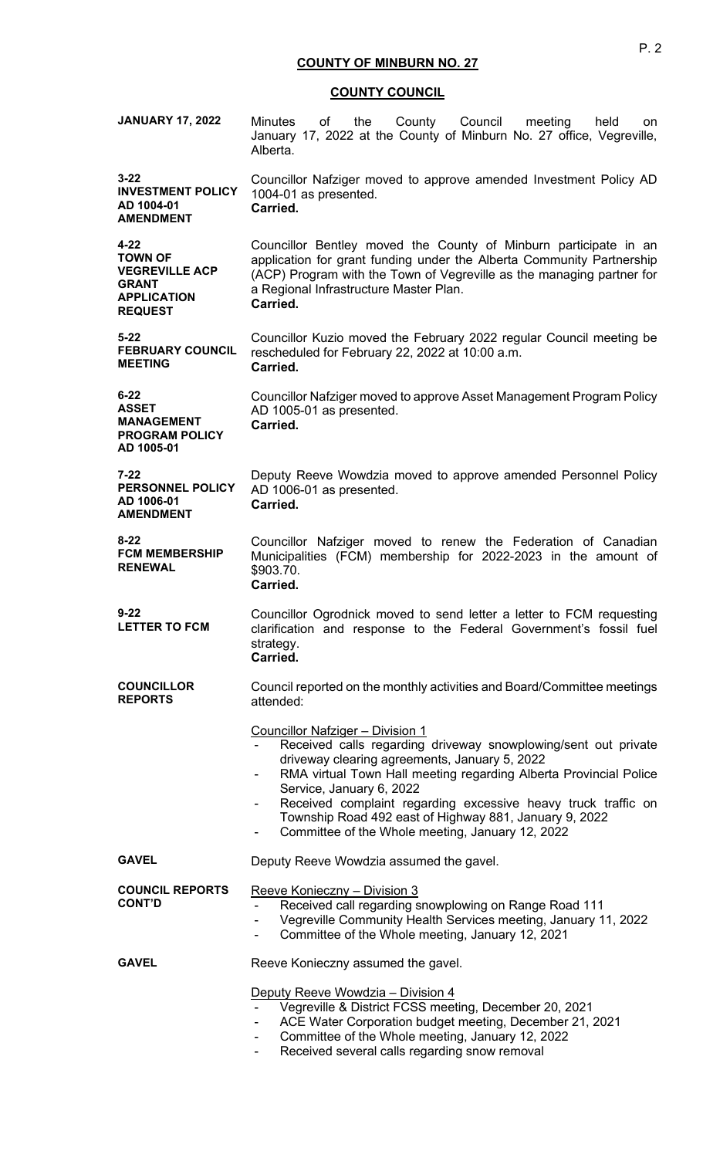| <b>JANUARY 17, 2022</b>                                                                                     | the County Council<br>Minutes<br>of<br>meeting<br>held<br>on<br>January 17, 2022 at the County of Minburn No. 27 office, Vegreville,<br>Alberta.                                                                                                                                                                                                                                                                                           |  |
|-------------------------------------------------------------------------------------------------------------|--------------------------------------------------------------------------------------------------------------------------------------------------------------------------------------------------------------------------------------------------------------------------------------------------------------------------------------------------------------------------------------------------------------------------------------------|--|
| $3 - 22$<br><b>INVESTMENT POLICY</b><br>AD 1004-01<br><b>AMENDMENT</b>                                      | Councillor Nafziger moved to approve amended Investment Policy AD<br>1004-01 as presented.<br>Carried.                                                                                                                                                                                                                                                                                                                                     |  |
| $4 - 22$<br><b>TOWN OF</b><br><b>VEGREVILLE ACP</b><br><b>GRANT</b><br><b>APPLICATION</b><br><b>REQUEST</b> | Councillor Bentley moved the County of Minburn participate in an<br>application for grant funding under the Alberta Community Partnership<br>(ACP) Program with the Town of Vegreville as the managing partner for<br>a Regional Infrastructure Master Plan.<br>Carried.                                                                                                                                                                   |  |
| $5 - 22$<br><b>FEBRUARY COUNCIL</b><br><b>MEETING</b>                                                       | Councillor Kuzio moved the February 2022 regular Council meeting be<br>rescheduled for February 22, 2022 at 10:00 a.m.<br>Carried.                                                                                                                                                                                                                                                                                                         |  |
| $6 - 22$<br><b>ASSET</b><br><b>MANAGEMENT</b><br><b>PROGRAM POLICY</b><br>AD 1005-01                        | Councillor Nafziger moved to approve Asset Management Program Policy<br>AD 1005-01 as presented.<br>Carried.                                                                                                                                                                                                                                                                                                                               |  |
| $7 - 22$<br>PERSONNEL POLICY<br>AD 1006-01<br><b>AMENDMENT</b>                                              | Deputy Reeve Wowdzia moved to approve amended Personnel Policy<br>AD 1006-01 as presented.<br>Carried.                                                                                                                                                                                                                                                                                                                                     |  |
| $8 - 22$<br><b>FCM MEMBERSHIP</b><br><b>RENEWAL</b>                                                         | Councillor Nafziger moved to renew the Federation of Canadian<br>Municipalities (FCM) membership for 2022-2023 in the amount of<br>\$903.70.<br>Carried.                                                                                                                                                                                                                                                                                   |  |
| $9 - 22$<br><b>LETTER TO FCM</b>                                                                            | Councillor Ogrodnick moved to send letter a letter to FCM requesting<br>clarification and response to the Federal Government's fossil fuel<br>strategy.<br>Carried.                                                                                                                                                                                                                                                                        |  |
| <b>COUNCILLOR</b><br><b>REPORTS</b>                                                                         | Council reported on the monthly activities and Board/Committee meetings<br>attended:                                                                                                                                                                                                                                                                                                                                                       |  |
|                                                                                                             | <b>Councillor Nafziger - Division 1</b><br>Received calls regarding driveway snowplowing/sent out private<br>driveway clearing agreements, January 5, 2022<br>RMA virtual Town Hall meeting regarding Alberta Provincial Police<br>Service, January 6, 2022<br>Received complaint regarding excessive heavy truck traffic on<br>Township Road 492 east of Highway 881, January 9, 2022<br>Committee of the Whole meeting, January 12, 2022 |  |
| <b>GAVEL</b>                                                                                                | Deputy Reeve Wowdzia assumed the gavel.                                                                                                                                                                                                                                                                                                                                                                                                    |  |
| <b>COUNCIL REPORTS</b><br><b>CONT'D</b>                                                                     | Reeve Konieczny – Division 3<br>Received call regarding snowplowing on Range Road 111<br>Vegreville Community Health Services meeting, January 11, 2022<br>Committee of the Whole meeting, January 12, 2021                                                                                                                                                                                                                                |  |
| <b>GAVEL</b>                                                                                                | Reeve Konieczny assumed the gavel.                                                                                                                                                                                                                                                                                                                                                                                                         |  |
|                                                                                                             | Deputy Reeve Wowdzia - Division 4<br>Vegreville & District FCSS meeting, December 20, 2021<br>ACE Water Corporation budget meeting, December 21, 2021<br>Committee of the Whole meeting, January 12, 2022<br>Received several calls regarding snow removal<br>Ξ.                                                                                                                                                                           |  |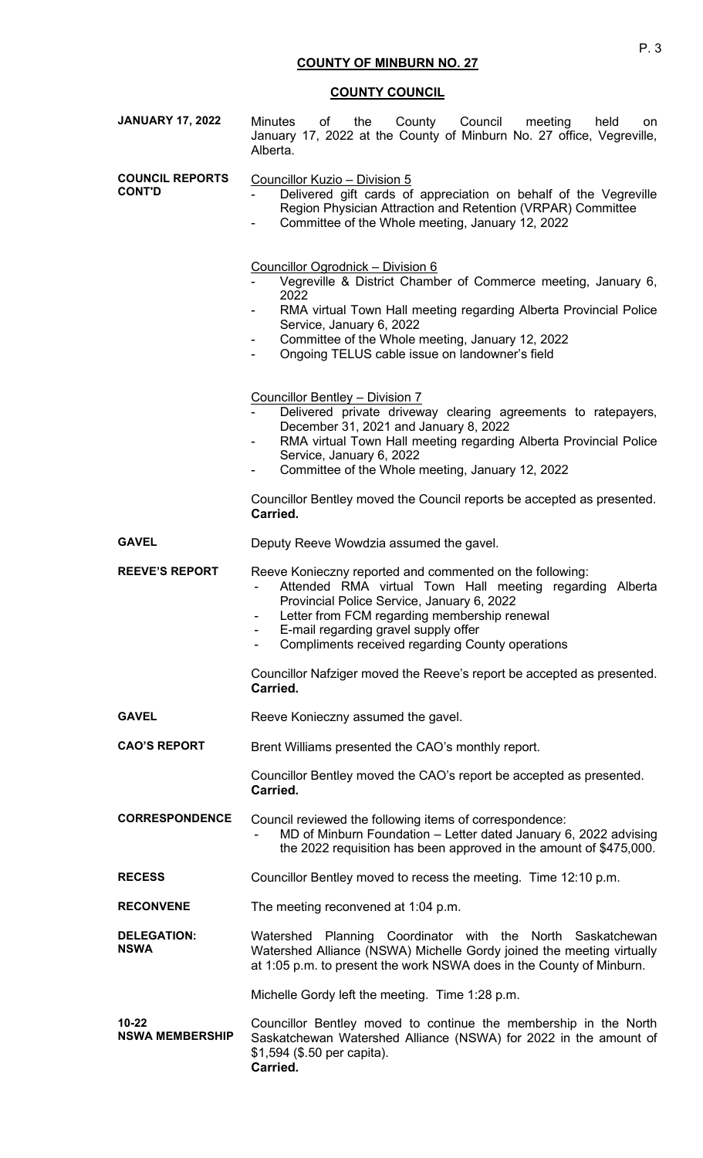| <b>JANUARY 17, 2022</b>                 | the County Council<br>meeting<br><b>Minutes</b><br>of<br>held<br>on<br>January 17, 2022 at the County of Minburn No. 27 office, Vegreville,<br>Alberta.                                                                                                                                                                                                                                                                                                                                                                                               |  |
|-----------------------------------------|-------------------------------------------------------------------------------------------------------------------------------------------------------------------------------------------------------------------------------------------------------------------------------------------------------------------------------------------------------------------------------------------------------------------------------------------------------------------------------------------------------------------------------------------------------|--|
| <b>COUNCIL REPORTS</b><br><b>CONT'D</b> | Councillor Kuzio - Division 5<br>Delivered gift cards of appreciation on behalf of the Vegreville<br>Region Physician Attraction and Retention (VRPAR) Committee<br>Committee of the Whole meeting, January 12, 2022<br><u>Councillor Ogrodnick - Division 6</u><br>Vegreville & District Chamber of Commerce meeting, January 6,<br>2022<br>RMA virtual Town Hall meeting regarding Alberta Provincial Police<br>Service, January 6, 2022<br>Committee of the Whole meeting, January 12, 2022<br>۰<br>Ongoing TELUS cable issue on landowner's field |  |
|                                         |                                                                                                                                                                                                                                                                                                                                                                                                                                                                                                                                                       |  |
|                                         | Councillor Bentley - Division 7<br>Delivered private driveway clearing agreements to ratepayers,<br>December 31, 2021 and January 8, 2022<br>RMA virtual Town Hall meeting regarding Alberta Provincial Police<br>Service, January 6, 2022<br>Committee of the Whole meeting, January 12, 2022                                                                                                                                                                                                                                                        |  |
|                                         | Councillor Bentley moved the Council reports be accepted as presented.<br>Carried.                                                                                                                                                                                                                                                                                                                                                                                                                                                                    |  |
| <b>GAVEL</b>                            | Deputy Reeve Wowdzia assumed the gavel.                                                                                                                                                                                                                                                                                                                                                                                                                                                                                                               |  |
| <b>REEVE'S REPORT</b>                   | Reeve Konieczny reported and commented on the following:<br>Attended RMA virtual Town Hall meeting regarding Alberta<br>Provincial Police Service, January 6, 2022<br>Letter from FCM regarding membership renewal<br>$\sim$<br>E-mail regarding gravel supply offer<br>Compliments received regarding County operations                                                                                                                                                                                                                              |  |
|                                         | Councillor Nafziger moved the Reeve's report be accepted as presented.<br>Carried.                                                                                                                                                                                                                                                                                                                                                                                                                                                                    |  |
| <b>GAVEL</b>                            | Reeve Konieczny assumed the gavel.                                                                                                                                                                                                                                                                                                                                                                                                                                                                                                                    |  |
| <b>CAO'S REPORT</b>                     | Brent Williams presented the CAO's monthly report.                                                                                                                                                                                                                                                                                                                                                                                                                                                                                                    |  |
|                                         | Councillor Bentley moved the CAO's report be accepted as presented.<br>Carried.                                                                                                                                                                                                                                                                                                                                                                                                                                                                       |  |
| <b>CORRESPONDENCE</b>                   | Council reviewed the following items of correspondence:<br>MD of Minburn Foundation - Letter dated January 6, 2022 advising<br>the 2022 requisition has been approved in the amount of \$475,000.                                                                                                                                                                                                                                                                                                                                                     |  |
| <b>RECESS</b>                           | Councillor Bentley moved to recess the meeting. Time 12:10 p.m.                                                                                                                                                                                                                                                                                                                                                                                                                                                                                       |  |
| <b>RECONVENE</b>                        | The meeting reconvened at 1:04 p.m.                                                                                                                                                                                                                                                                                                                                                                                                                                                                                                                   |  |
| <b>DELEGATION:</b><br><b>NSWA</b>       | Watershed Planning Coordinator with the North Saskatchewan<br>Watershed Alliance (NSWA) Michelle Gordy joined the meeting virtually<br>at 1:05 p.m. to present the work NSWA does in the County of Minburn.                                                                                                                                                                                                                                                                                                                                           |  |
|                                         | Michelle Gordy left the meeting. Time 1:28 p.m.                                                                                                                                                                                                                                                                                                                                                                                                                                                                                                       |  |
| $10 - 22$<br><b>NSWA MEMBERSHIP</b>     | Councillor Bentley moved to continue the membership in the North<br>Saskatchewan Watershed Alliance (NSWA) for 2022 in the amount of<br>\$1,594 (\$.50 per capita).<br>Carried.                                                                                                                                                                                                                                                                                                                                                                       |  |